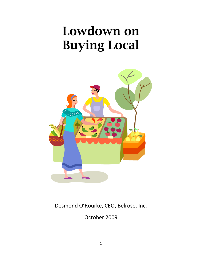# Lowdown on Buying Local



Desmond O'Rourke, CEO, Belrose, Inc.

October 2009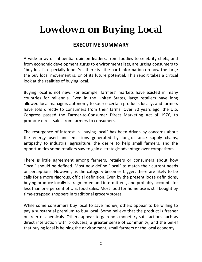## Lowdown on Buying Local

#### **EXECUTIVE SUMMARY**

A wide array of influential opinion leaders, from foodies to celebrity chefs, and from economic development gurus to environmentalists, are urging consumers to "buy local", especially food. Yet there is little hard information on how the large the buy local movement is, or of its future potential. This report takes a critical look at the realities of buying local.

Buying local is not new. For example, farmers' markets have existed in many countries for millennia. Even in the United States, large retailers have long allowed local managers autonomy to source certain products locally, and farmers have sold directly to consumers from their farms. Over 30 years ago, the U.S. Congress passed the Farmer-to-Consumer Direct Marketing Act of 1976, to promote direct sales from farmers to consumers.

The resurgence of interest in "buying local" has been driven by concerns about the energy used and emissions generated by long-distance supply chains, antipathy to industrial agriculture, the desire to help small farmers, and the opportunities some retailers saw to gain a strategic advantage over competitors.

There is little agreement among farmers, retailers or consumers about how "local" should be defined. Most now define "local" to match their current needs or perceptions. However, as the category becomes bigger, there are likely to be calls for a more rigorous, official definition. Even by the present loose definitions, buying produce locally is fragmented and intermittent, and probably accounts for less than one percent of U.S. food sales. Most food for home use is still bought by time-strapped shoppers in traditional grocery stores.

While some consumers buy local to save money, others appear to be willing to pay a substantial premium to buy local. Some believe that the product is fresher or freer of chemicals. Others appear to gain non-monetary satisfactions such as direct interaction with producers, a greater sense of community, and the belief that buying local is helping the environment, small farmers or the local economy.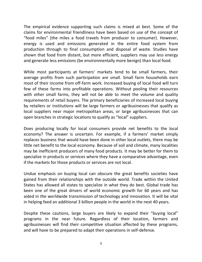The empirical evidence supporting such claims is mixed at best. Some of the claims for environmental friendliness have been based on use of the concept of "food miles" (the miles a food travels from producer to consumer). However, energy is used and emissions generated in the entire food system from production through to final consumption and disposal of waste. Studies have shown that food from distant, but more efficient, suppliers may use less energy and generate less emissions (be environmentally more benign) than local food.

While most participants at farmers' markets tend to be small farmers, their average profits from such participation are small. Small farm households earn most of their income from off-farm work. Increased buying of local food will turn few of these farms into profitable operations. Without pooling their resources with other small farms, they will not be able to meet the volume and quality requirements of retail buyers. The primary beneficiaries of increased local buying by retailers or institutions will be large farmers or agribusinesses that qualify as local suppliers near major metropolitan areas, or large agribusinesses that can open branches in strategic locations to qualify as "local" suppliers.

Does producing locally for local consumers provide net benefits to the local economy? The answer is uncertain. For example, if a farmers' market simply replaces business that would have been done in other local outlets, there may be little net benefit to the local economy. Because of soil and climate, many localities may be inefficient producers of many food products. It may be better for them to specialize in products or services where they have a comparative advantage, even if the markets for those products or services are not local.

Undue emphasis on buying local can obscure the great benefits societies have gained from their relationships with the outside world. Trade within the United States has allowed all states to specialize in what they do best. Global trade has been one of the great drivers of world economic growth for 60 years and has aided in the worldwide transmission of technology and innovation. It will be vital in helping feed an additional 3 billion people in the world in the next 40 years.

Despite these cautions, large buyers are likely to expand their "buying local" programs in the near future. Regardless of their location, farmers and agribusinesses will find their competitive situation affected by these programs, and will have to be prepared to adapt their operations in self-defense.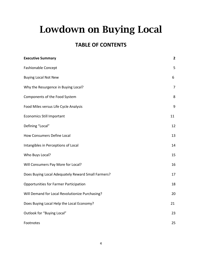## Lowdown on Buying Local

#### **TABLE OF CONTENTS**

| <b>Executive Summary</b>                           | $\overline{\mathbf{2}}$ |
|----------------------------------------------------|-------------------------|
| <b>Fashionable Concept</b>                         | 5                       |
| <b>Buying Local Not New</b>                        | 6                       |
| Why the Resurgence in Buying Local?                | $\overline{7}$          |
| Components of the Food System                      | 8                       |
| Food Miles versus Life Cycle Analysis              | 9                       |
| <b>Economics Still Important</b>                   | 11                      |
| Defining "Local"                                   | 12                      |
| How Consumers Define Local                         | 13                      |
| Intangibles in Perceptions of Local                | 14                      |
| Who Buys Local?                                    | 15                      |
| Will Consumers Pay More for Local?                 | 16                      |
| Does Buying Local Adequately Reward Small Farmers? | 17                      |
| Opportunities for Farmer Participation             | 18                      |
| Will Demand for Local Revolutionize Purchasing?    | 20                      |
| Does Buying Local Help the Local Economy?          | 21                      |
| Outlook for "Buying Local"                         | 23                      |
| Footnotes                                          | 25                      |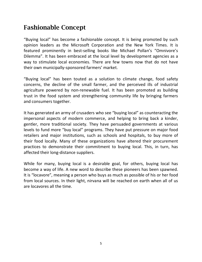### Fashionable Concept

"Buying local" has become a fashionable concept. It is being promoted by such opinion leaders as the Microsoft Corporation and the New York Times. It is featured prominently in best-selling books like Michael Pollan's "Omnivore's Dilemma". It has been embraced at the local level by development agencies as a way to stimulate local economies. There are few towns now that do not have their own municipally-sponsored farmers' market.

"Buying local" has been touted as a solution to climate change, food safety concerns, the decline of the small farmer, and the perceived ills of industrial agriculture powered by non-renewable fuel. It has been promoted as building trust in the food system and strengthening community life by bringing farmers and consumers together.

It has generated an army of crusaders who see "buying local" as counteracting the impersonal aspects of modern commerce, and helping to bring back a kinder, gentler, more traditional society. They have persuaded governments at various levels to fund more "buy local" programs. They have put pressure on major food retailers and major institutions, such as schools and hospitals, to buy more of their food locally. Many of these organizations have altered their procurement practices to demonstrate their commitment to buying local. This, in turn, has affected their long-distance suppliers.

While for many, buying local is a desirable goal, for others, buying local has become a way of life. A new word to describe these pioneers has been spawned. It is "locavore", meaning a person who buys as much as possible of his or her food from local sources. In their light, nirvana will be reached on earth when all of us are locavores all the time.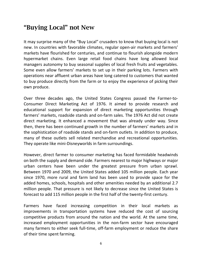#### "Buying Local" not New

It may surprise many of the "Buy Local" crusaders to know that buying local is not new. In countries with favorable climates, regular open-air markets and farmers' markets have flourished for centuries, and continue to flourish alongside modern hypermarket chains. Even large retail food chains have long allowed local managers autonomy to buy seasonal supplies of local fresh fruits and vegetables. Some even allow farmers' markets to set up in their parking lots. Farmers with operations near affluent urban areas have long catered to customers that wanted to buy produce directly from the farm or to enjoy the experience of picking their own produce.

Over three decades ago, the United States Congress passed the Farmer-to-Consumer Direct Marketing Act of 1976. It aimed to provide research and educational support for expansion of direct marketing opportunities through farmers' markets, roadside stands and on-farm sales. The 1976 Act did not create direct marketing. It enhanced a movement that was already under way. Since then, there has been continued growth in the number of farmers' markets and in the sophistication of roadside stands and on-farm outlets. In addition to produce, many of these outlets sell related merchandise and recreational opportunities. They operate like mini-Disneyworlds in farm surroundings.

However, direct farmer to consumer marketing has faced formidable headwinds on both the supply and demand side. Farmers nearest to major highways or major urban centers have been under the greatest pressure from urban sprawl. Between 1970 and 2009, the United States added 105 million people. Each year since 1970, more rural and farm land has been used to provide space for the added homes, schools, hospitals and other amenities needed by an additional 2.7 million people. That pressure is not likely to decrease since the United States is forecast to add 115 million people in the first half of the twenty-first century.

Farmers have faced increasing competition in their local markets as improvements in transportation systems have reduced the cost of sourcing competitive products from around the nation and the world. At the same time, increased employment opportunities in the non-farm sector have encouraged many farmers to either seek full-time, off-farm employment or reduce the share of their time spent farming.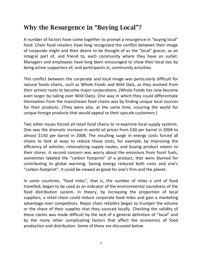#### Why the Resurgence in "Buying Local"?

A number of factors have come together to prompt a resurgence in "buying local" food. Chain food retailers have long recognized the conflict between their image of corporate might and their desire to be thought of as the "local" grocer, as an integral part of, and friend to, each community where they have an outlet. Managers and employees have long been encouraged to show their local ties by being active supporters of, and participants in, community activities.

This conflict between the corporate and local image was particularly difficult for natural foods chains, such as Whole Foods and Wild Oats, as they evolved from their activist roots to become major corporations. (Whole Foods has now become even larger by taking over Wild Oats). One way in which they could differentiate themselves from the mainstream food chains was by finding unique local sources for their products. (They were also, at the same time, scouring the world for unique foreign products that would appeal to their upscale customers.)

Two other issues forced all retail food chains to re-examine local supply systems. One was the dramatic increase in world oil prices from \$30 per barrel in 2004 to almost \$150 per barrel in 2008. The resulting surge in energy costs forced all chains to look at ways to reduce those costs, for example, by improving the efficiency of vehicles, rationalizing supply routes, and buying product nearer to their stores. A second concern was worry about the emissions from fossil fuels, sometimes labeled the "carbon footprint" of a product, that were blamed for contributing to global warming. Saving energy reduced both costs and one's "carbon footprint". It could be viewed as good for one's firm and the planet.

In some countries, "food miles", that is, the number of miles a unit of food travelled, began to be used as an indicator of the environmental soundness of the food distribution system. In theory, by increasing the proportion of local suppliers, a retail chain could reduce corporate food miles and gain a marketing advantage over competitors. Major chain retailers began to trumpet the volume or the share of their supplies that they sourced locally. Checking the validity of these claims was made difficult by the lack of a general definition of "local" and by the many other complicating factors that affect the economics of food production and distribution. Some of these are discussed below.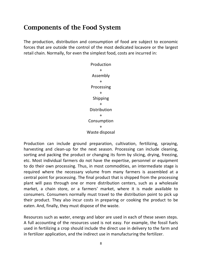#### Components of the Food System

The production, distribution and consumption of food are subject to economic forces that are outside the control of the most dedicated locavore or the largest retail chain. Normally, for even the simplest food, costs are incurred in:



Production can include ground preparation, cultivation, fertilizing, spraying, harvesting and clean-up for the next season. Processing can include cleaning, sorting and packing the product or changing its form by slicing, drying, freezing, etc. Most individual farmers do not have the expertise, personnel or equipment to do their own processing. Thus, in most commodities, an intermediate stage is required where the necessary volume from many farmers is assembled at a central point for processing. The final product that is shipped from the processing plant will pass through one or more distribution centers, such as a wholesale market, a chain store, or a farmers' market, where it is made available to consumers. Consumers normally must travel to the distribution point to pick up their product. They also incur costs in preparing or cooking the product to be eaten. And, finally, they must dispose of the waste.

Resources such as water, energy and labor are used in each of these seven steps. A full accounting of the resources used is not easy. For example, the fossil fuels used in fertilizing a crop should include the direct use in delivery to the farm and in fertilizer application, and the indirect use in manufacturing the fertilizer.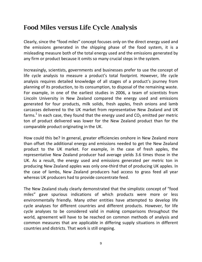#### Food Miles versus Life Cycle Analysis

Clearly, since the "food miles" concept focuses only on the direct energy used and the emissions generated in the shipping phase of the food system, it is a misleading measure both of the total energy used and the emissions generated by any firm or product because it omits so many crucial steps in the system.

Increasingly, scientists, governments and businesses prefer to use the concept of life cycle analysis to measure a product's total footprint. However, life cycle analysis requires detailed knowledge of all stages of a product's journey from planning of its production, to its consumption, to disposal of the remaining waste. For example, in one of the earliest studies in 2006, a team of scientists from Lincoln University in New Zealand compared the energy used and emissions generated for four products, milk solids, fresh apples, fresh onions and lamb carcasses delivered to the UK market from representative New Zealand and UK farms.<sup>1</sup> In each case, they found that the energy used and  $CO<sub>2</sub>$  emitted per metric ton of product delivered was lower for the New Zealand product than for the comparable product originating in the UK.

How could this be? In general, greater efficiencies onshore in New Zealand more than offset the additional energy and emissions needed to get the New Zealand product to the UK market. For example, in the case of fresh apples, the representative New Zealand producer had average yields 3.6 times those in the UK. As a result, the energy used and emissions generated per metric ton in producing New Zealand apples was only one-third that of producing UK apples. In the case of lambs, New Zealand producers had access to grass feed all year whereas UK producers had to provide concentrate feed.

The New Zealand study clearly demonstrated that the simplistic concept of "food miles" gave spurious indications of which products were more or less environmentally friendly. Many other entities have attempted to develop life cycle analyses for different countries and different products. However, for life cycle analyses to be considered valid in making comparisons throughout the world, agreement will have to be reached on common methods of analysis and common measures that are applicable in differing supply situations in different countries and districts. That work is still ongoing.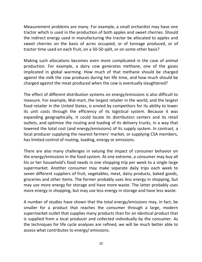Measurement problems are many. For example, a small orchardist may have one tractor which is used in the production of both apples and sweet cherries. Should the indirect energy used in manufacturing the tractor be allocated to apples and sweet cherries on the basis of acres occupied, or of tonnage produced, or of tractor time used on each fruit, on a 50-50 split, or on some other basis?

Making such allocations becomes even more complicated in the case of animal production. For example, a dairy cow generates methane, one of the gases implicated in global warming. How much of that methane should be charged against the milk the cow produces during her life time, and how much should be charged against the meat produced when the cow is eventually slaughtered?

The effect of different distribution systems on energy/emissions is also difficult to measure. For example, Wal-mart, the largest retailer in the world, and the largest food retailer in the United States, is envied by competitors for its ability to lower its unit costs through the efficiency of its logistical system. Because it was expanding geographically, it could locate its distribution centers and its retail outlets, and optimize the routing and loading of its delivery trucks, in a way that lowered the total cost (and energy/emissions) of its supply system. In contrast, a local producer supplying the nearest farmers' market, or supplying CSA members, has limited control of routing, loading, energy or emissions.

There are also many challenges in valuing the impact of consumer behavior on the energy/emissions in the food system. At one extreme, a consumer may buy all his or her household's food needs in one shopping trip per week to a single large supermarket. Another consumer may make separate daily trips each week to seven different suppliers of fruit, vegetables, meat, dairy products, baked goods, groceries and other items. The former probably uses less energy in shopping, but may use more energy for storage and have more waste. The latter probably uses more energy in shopping, but may use less energy in storage and have less waste.

A number of studies have shown that the total energy/emissions may, in fact, be smaller for a product that reaches the consumer through a large, modern supermarket outlet that supplies many products than for an identical product that is supplied from a local producer and collected individually by the consumer. As the techniques for life cycle analyses are refined, we will be much better able to assess what contributes to energy/ emissions.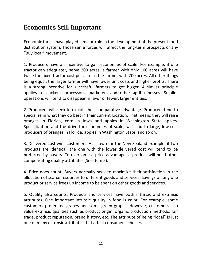#### Economics Still Important

Economic forces have played a major role in the development of the present food distribution system. Those same forces will affect the long-term prospects of any "Buy local" movement.

1. Producers have an incentive to gain economies of scale. For example, if one tractor can adequately serve 200 acres, a farmer with only 100 acres will have twice the fixed tractor cost per acre as the farmer with 200 acres. All other things being equal, the larger farmer will have lower unit costs and higher profits. There is a strong incentive for successful farmers to get bigger. A similar principle applies to packers, processors, marketers and other agribusinesses. Smaller operations will tend to disappear in favor of fewer, larger entities.

2. Producers will seek to exploit their comparative advantage. Producers tend to specialize in what they do best in their current location. That means they will raise oranges in Florida, corn in Iowa and apples in Washington State apples. Specialization and the drive for economies of scale, will lead to large, low-cost producers of oranges in Florida, apples in Washington State, and so on.

3. Delivered cost wins customers. As shown for the New Zealand example, if two products are identical, the one with the lower delivered cost will tend to be preferred by buyers. To overcome a price advantage, a product will need other compensating quality attributes (See item 5).

4. Price does count. Buyers normally seek to maximize their satisfaction in the allocation of scarce resources to different goods and services. Savings on any one product or service frees up income to be spent on other goods and services.

5. Quality also counts. Products and services have both intrinsic and extrinsic attributes. One important intrinsic quality in food is color. For example, some customers prefer red grapes and some green grapes. However, customers also value extrinsic qualities such as product origin, organic production methods, fair trade, product reputation, brand history, etc. The attribute of being "local" is just one of many extrinsic attributes that affect consumers' choices.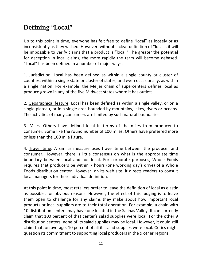### Defining "Local"

Up to this point in time, everyone has felt free to define "local" as loosely or as inconsistently as they wished. However, without a clear definition of "local", it will be impossible to verify claims that a product is "local." The greater the potential for deception in local claims, the more rapidly the term will become debased. "Local" has been defined in a number of major ways:

1. Jurisdiction. Local has been defined as within a single county or cluster of counties, within a single state or cluster of states, and even occasionally, as within a single nation. For example, the Meijer chain of supercenters defines local as produce grown in any of the five Midwest states where it has outlets.

2. Geographical feature. Local has been defined as within a single valley, or on a single plateau, or in a single area bounded by mountains, lakes, rivers or oceans. The activities of many consumers are limited by such natural boundaries.

3. Miles. Others have defined local in terms of the miles from producer to consumer. Some like the round number of 100 miles. Others have preferred more or less than the 100 mile figure.

4. Travel time. A similar measure uses travel time between the producer and consumer. However, there is little consensus on what is the appropriate time boundary between local and non-local. For corporate purposes, Whole Foods requires that producers be within 7 hours (one working day's drive) of a Whole Foods distribution center. However, on its web site, it directs readers to consult local managers for their individual definition.

At this point in time, most retailers prefer to leave the definition of local as elastic as possible, for obvious reasons. However, the effect of this fudging is to leave them open to challenge for any claims they make about how important local products or local suppliers are to their total operation. For example, a chain with 10 distribution centers may have one located in the Salinas Valley. It can correctly claim that 100 percent of that center's salad supplies were local. For the other 9 distribution centers, none of its salad supplies may be local. However, it could still claim that, on average, 10 percent of all its salad supplies were local. Critics might question its commitment to supporting local producers in the 9 other regions.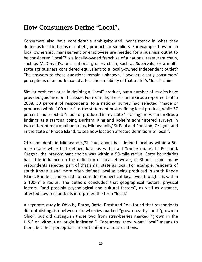#### How Consumers Define "Local".

Consumers also have considerable ambiguity and inconsistency in what they define as local in terms of outlets, products or suppliers. For example, how much local ownership, management or employees are needed for a business outlet to be considered "local"? Is a locally-owned franchise of a national restaurant chain, such as McDonald's, or a national grocery chain, such as Supervalu, or a multistate agribusiness considered equivalent to a locally-owned independent outlet? The answers to these questions remain unknown. However, clearly consumers' perceptions of an outlet could affect the credibility of that outlet's "local" claims.

Similar problems arise in defining a "local" product, but a number of studies have provided guidance on this issue. For example, the Hartman Group reported that in 2008, 50 percent of respondents to a national survey had selected "made or produced within 100 miles" as the statement best defining local product, while 37 percent had selected "made or produced in my state  $2.$ " Using the Hartman Group findings as a starting point, Durham, King and Roheim administered surveys in two different metropolitan areas, Minneapolis/ St Paul and Portland, Oregon, and in the state of Rhode Island, to see how location affected definitions of local  $3$ .

Of respondents in Minneapolis/St Paul, about half defined local as within a 50 mile radius while half defined local as within a 175-mile radius. In Portland, Oregon, the predominant choice was within a 50-mile radius. State boundaries had little influence on the definition of local. However, in Rhode Island, many respondents selected part of that small state as local. For example, residents of south Rhode Island more often defined local as being produced in south Rhode Island. Rhode Islanders did not consider Connecticut local even though it is within a 100-mile radius. The authors concluded that geographical factors, physical factors, "and possibly psychological and cultural factors", as well as distance, affected how respondents interpreted the term "local."

A separate study in Ohio by Darby, Batte, Ernst and Roe, found that respondents did not distinguish between strawberries marked "grown nearby" and "grown in Ohio", but did distinguish those two from strawberries marked "grown in the U.S." or without an origin indicated  $4$ . Consumers know what "local" means to them, but their perceptions are not uniform across locations.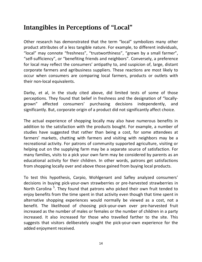#### Intangibles in Perceptions of "Local"

Other research has demonstrated that the term "local" symbolizes many other product attributes of a less tangible nature. For example, to different individuals, "local" may connote "freshness", "trustworthiness", "grown by a small farmer", "self-sufficiency", or "benefiting friends and neighbors". Conversely, a preference for local may reflect the consumers' antipathy to, and suspicion of, large, distant corporate farmers and agribusiness suppliers. These reactions are most likely to occur when consumers are comparing local farmers, products or outlets with their non-local equivalents.

Darby, et al, in the study cited above, did limited tests of some of those perceptions. They found that belief in freshness and the designation of "locallygrown" affected consumers' purchasing decisions independently, and significantly. But, corporate origin of a product did not significantly affect choice.

The actual experience of shopping locally may also have numerous benefits in addition to the satisfaction with the products bought. For example, a number of studies have suggested that rather than being a cost, for some attendees at farmers' markets, chatting with farmers and visiting with neighbors may be a recreational activity. For patrons of community supported agriculture, visiting or helping out on the supplying farm may be a separate source of satisfaction. For many families, visits to a pick your own farm may be considered by parents as an educational activity for their children. In other words, patrons get satisfactions from shopping locally over and above those gained from buying local products.

To test this hypothesis, Carpio, Wohlgenant and Safley analyzed consumers' decisions in buying pick-your-own strawberries or pre-harvested strawberries in North Carolina<sup>5</sup>. They found that patrons who picked their own fruit tended to eniov benefits from the time spent in that activity even though that time spent in alternative shopping experiences would normally be viewed as a cost, not a benefit. The likelihood of choosing pick-your-own over pre-harvested fruit increased as the number of males or females or the number of children in a party increased. It also increased for those who travelled farther to the site. This suggests that visitors deliberately sought the pick-your-own experience for the added enjoyment received.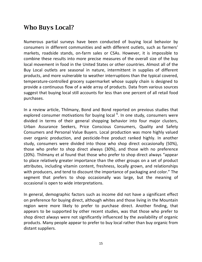#### Who Buys Local?

Numerous partial surveys have been conducted of buying local behavior by consumers in different communities and with different outlets, such as farmers' markets, roadside stands, on-farm sales or CSAs. However, it is impossible to combine these results into more precise measures of the overall size of the buy local movement in food in the United States or other countries. Almost all of the Buy Local outlets are seasonal in nature, intermittent in supplies of different products, and more vulnerable to weather interruptions than the typical covered, temperature-controlled grocery supermarket whose supply chain is designed to provide a continuous flow of a wide array of products. Data from various sources suggest that buying local still accounts for less than one percent of all retail food purchases.

In a review article, Thilmany, Bond and Bond reported on previous studies that explored consumer motivations for buying local  $6$ . In one study, consumers were divided in terms of their general shopping behavior into four major clusters, Urban Assurance Seekers, Price Conscious Consumers, Quality and Safety Consumers and Personal Value Buyers. Local production was more highly valued over organic production, and pesticide-free product ranked highly. In another study, consumers were divided into those who shop direct occasionally (50%), those who prefer to shop direct always (30%), and those with no preference (20%). Thilmany et al found that those who prefer to shop direct always "appear to place relatively greater importance than the other groups on a set of product attributes, including vitamin content, freshness, locally grown, and relationships with producers, and tend to discount the importance of packaging and color." The segment that prefers to shop occasionally was large, but the meaning of occasional is open to wide interpretations.

In general, demographic factors such as income did not have a significant effect on preference for buying direct, although whites and those living in the Mountain region were more likely to prefer to purchase direct. Another finding, that appears to be supported by other recent studies, was that those who prefer to shop direct always were not significantly influenced by the availability of organic products. Many people appear to prefer to buy local rather than buy organic from distant suppliers.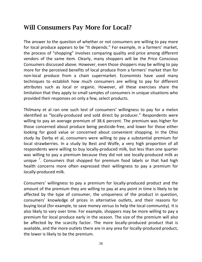#### Will Consumers Pay More for Local?

The answer to the question of whether or not consumers are willing to pay more for local produce appears to be "It depends." For example, in a farmers' market, the process of "shopping" involves comparing quality and price among different vendors of the same item. Clearly, many shoppers will be the Price Conscious Consumers discussed above. However, even those shoppers may be willing to pay more for the perceived benefits of local produce from a farmers' market than for non-local produce from a chain supermarket. Economists have used many techniques to establish how much consumers are willing to pay for different attributes such as local or organic. However, all these exercises share the limitation that they apply to small samples of consumers in unique situations who provided their responses on only a few, select products.

Thilmany et al ran one such test of consumers' willingness to pay for a melon identified as "locally-produced and sold direct by producer." Respondents were willing to pay an average premium of 38.6 percent. The premium was higher for those concerned about produce being pesticide-free, and lower for those either looking for good value or concerned about convenient shopping. In the Ohio study by Darby et al, consumers were willing to pay a substantial premium for local strawberries. In a study by Best and Wolfe, a very high proportion of all respondents were willing to buy locally-produced milk, but less than one quarter was willing to pay a premium because they did not see locally-produced milk as unique<sup>7</sup>. Consumers that shopped for premium food labels or that had high health concerns more often expressed their willingness to pay a premium for locally-produced milk.

Consumers' willingness to pay a premium for locally-produced product and the amount of the premium they are willing to pay at any point in time is likely to be affected by the type of consumer, the uniqueness of the product in question, consumers' knowledge of prices in alternative outlets, and their reasons for buying local (for example, to save money versus to help the local community). It is also likely to vary over time. For example, shoppers may be more willing to pay a premium for local produce early in the season. The size of the premium will also be affected by the scarcity factor. The more locally-produced product that is available, and the more outlets there are in any area for locally-produced product, the lower is likely to be the premium.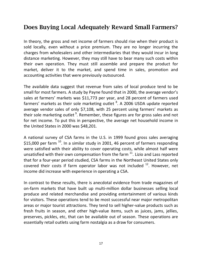#### Does Buying Local Adequately Reward Small Farmers?

In theory, the gross and net income of farmers should rise when their product is sold locally, even without a price premium. They are no longer incurring the charges from wholesalers and other intermediaries that they would incur in long distance marketing. However, they may still have to bear many such costs within their own operation. They must still assemble and prepare the product for market, deliver it to the market, and spend time in sales, promotion and accounting activities that were previously outsourced.

The available data suggest that revenue from sales of local produce tend to be small for most farmers. A study by Payne found that in 2000, the average vendor's sales at farmers' markets was \$11,773 per year, and 28 percent of farmers used farmers' markets as their sole marketing outlet  ${}^{8}$ . A 2006 USDA update reported average vendor sales of only \$7,108, with 25 percent using farmers' markets as their sole marketing outlet  $9$ . Remember, these figures are for gross sales and not for net income. To put this in perspective, the average net household income in the United States in 2000 was \$48,201.

A national survey of CSA farms in the U.S. in 1999 found gross sales averaging \$15,000 per farm  $^{10}$ . In a similar study in 2001, 46 percent of farmers responding were satisfied with their ability to cover operating costs, while almost half were unsatisfied with their own compensation from the farm  $11$ . Lizio and Lass reported that for a four-year period studied, CSA farms in the Northeast United States only covered their costs if farm operator labor was not included  $^{12}$ . However, net income did increase with experience in operating a CSA.

In contrast to these results, there is anecdotal evidence from trade magazines of on-farm markets that have built up multi-million dollar businesses selling local produce and related merchandise and providing entertainment of various kinds for visitors. These operations tend to be most successful near major metropolitan areas or major tourist attractions. They tend to sell higher-value products such as fresh fruits in season, and other high-value items, such as juices, jams, jellies, preserves, pickles, etc, that can be available out of season. These operations are essentially retail outlets using farm nostalgia as a draw for consumers.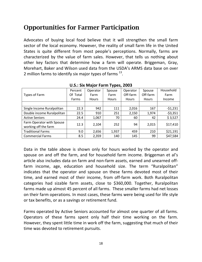#### Opportunities for Farmer Participation

Advocates of buying local food believe that it will strengthen the small farm sector of the local economy. However, the reality of small farm life in the United States is quite different from most people's perceptions. Normally, farms are characterized by the value of farm sales. However, that tells us nothing about other key factors that determine how a farm will operate. Briggeman, Gray, Morehart, Baker and Wilson used data from the USDA's ARMS data base on over 2 million farms to identify six major types of farms  $^{13}$ .

|                            | Percent  | Operator     | Spouse       | Operator     | Spouse   | Household |  |          |
|----------------------------|----------|--------------|--------------|--------------|----------|-----------|--|----------|
| Types of Farm              | Of Total | Farm         | Farm         | Off-farm     | Off-farm | Farm      |  |          |
|                            | Farms    | <b>Hours</b> | <b>Hours</b> | <b>Hours</b> | Hours    | Income    |  |          |
|                            |          |              |              |              |          |           |  |          |
| Single Income Ruralpolitan | 22.3     | 942          | 111          | 2,016        | 167      | $-51,231$ |  |          |
| Double income Ruralpolitan | 22.5     | 910          | 251          | 2,150        | 1,974    | $-53,351$ |  |          |
| <b>Active Seniors</b>      | 24.4     | 1,067        | 70           | 60           | 42       | \$3,527   |  |          |
| Farm Operator with Spouse  | 12.3     |              |              |              |          | 94        |  | \$17,410 |
| working off the farm       |          | 2,104        | 252          |              | 2,015    |           |  |          |
| <b>Traditional Farms</b>   | 9.0      | 2,656        | 1,937        | 459          | 210      | \$21,191  |  |          |
| <b>Commercial Farms</b>    | 8.5      | 2,359        | 140          | 145          | 99       | \$47,584  |  |          |

#### **U.S.: Six Major Farm Types, 2003**

Data in the table above is shown only for hours worked by the operator and spouse on and off the farm, and for household farm income. Briggeman et al's article also includes data on farm and non-farm assets, earned and unearned offfarm income, age, education and household size. The term "Ruralpolitan" indicates that the operator and spouse on these farms devoted most of their time, and earned most of their income, from off-farm work. Both Ruralpolitan categories had sizable farm assets, close to \$360,000. Together, Ruralpolitan farms made up almost 45 percent of all farms. These smaller farms had net losses on their farm operations. In most cases, these farms were being used for life style or tax benefits, or as a savings or retirement fund.

Farms operated by Active Seniors accounted for almost one quarter of all farms. Operators of these farms spent only half their time working on the farm. However, they spent little time in work off the farm, suggesting that much of their time was devoted to retirement pursuits.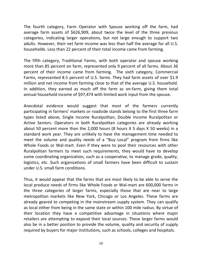The fourth category, Farm Operator with Spouse working off the farm, had average farm assets of \$626,909, about twice the level of the three previous categories, indicating larger operations, but not large enough to support two adults. However, their net farm income was less than half the average for all U.S. households. Less than 22 percent of their total income came from farming.

The fifth category, Traditional Farms, with both operator and spouse working more than 85 percent on farm, represented only 9 percent of all farms. About 36 percent of their income came from farming. The sixth category, Commercial Farms, represented 8.5 percent of U.S. farms. They had farm assets of over \$1.9 million and net income from farming close to that of the average U.S. household. In addition, they earned as much off the farm as on-farm, giving them total annual household income of \$97,474 with limited work input from the spouse.

Anecdotal evidence would suggest that most of the farmers currently participating in farmers' markets or roadside stands belong to the first three farm types listed above, Single Income Ruralpolitan, Double Income Ruralpolitan or Active Seniors. Operators in both Ruralpolitan categories are already working about 50 percent more than the 2,000 hours (8 hours X 5 days X 50 weeks) in a standard work year. They are unlikely to have the management time needed to meet the volume and quality needs of a "Buy Local" program from firms like Whole Foods or Wal-mart. Even if they were to pool their resources with other Ruralpolitan farmers to meet such requirements, they would have to develop some coordinating organization, such as a cooperative, to manage grade, quality, logistics, etc. Such organizations of small farmers have been difficult to sustain under U.S. small farm conditions.

Thus, it would appear that the farms that are most likely to be able to serve the local produce needs of firms like Whole Foods or Wal-mart are 600,000 farms in the three categories of larger farms, especially those that are near to large metropolitan markets like New York, Chicago or Los Angeles. These farms are already geared to competing in the mainstream supply system. They can qualify as local either from being in the same state or within 100 mile radius. By virtue of their location they have a competitive advantage in situations where major retailers are attempting to expand their local sources. These larger farms would also be in a better position to provide the volume, quality and security of supply required by buyers for major institutions, such as schools, colleges and hospitals.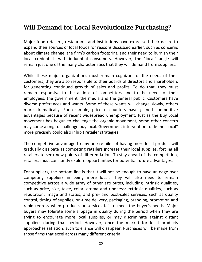#### Will Demand for Local Revolutionize Purchasing?

Major food retailers, restaurants and institutions have expressed their desire to expand their sources of local foods for reasons discussed earlier, such as concerns about climate change, the firm's carbon footprint, and their need to burnish their local credentials with influential consumers. However, the "local" angle will remain just one of the many characteristics that they will demand from suppliers.

While these major organizations must remain cognizant of the needs of their customers, they are also responsible to their boards of directors and shareholders for generating continued growth of sales and profits. To do that, they must remain responsive to the actions of competitors and to the needs of their employees, the government, the media and the general public. Customers have diverse preferences and wants. Some of these wants will change slowly, others more dramatically. For example, price discounters have gained competitive advantages because of recent widespread unemployment. Just as the Buy Local movement has begun to challenge the organic movement, some other concern may come along to challenge buy local. Government intervention to define "local" more precisely could also inhibit retailer strategies.

The competitive advantage to any one retailer of having more local product will gradually dissipate as competing retailers increase their local supplies, forcing all retailers to seek new points of differentiation. To stay ahead of the competition, retailers must constantly explore opportunities for potential future advantages.

For suppliers, the bottom line is that it will not be enough to have an edge over competing suppliers in being more local. They will also need to remain competitive across a wide array of other attributes, including intrinsic qualities, such as price, size, taste, color, aroma and ripeness; extrinsic qualities, such as reputation, image and status; and pre- and post-sales services, such as quality control, timing of supplies, on-time delivery, packaging, branding, promotion and rapid redress when products or services fail to meet the buyer's needs. Major buyers may tolerate some slippage in quality during the period when they are trying to encourage more local supplies, or may discriminate against distant suppliers during that period. However, once the market for local products approaches satiation, such tolerance will disappear. Purchases will be made from those firms that excel across many different criteria.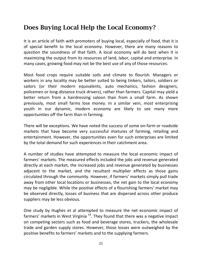#### Does Buying Local Help the Local Economy?

It is an article of faith with promoters of buying local, especially of food, that it is of special benefit to the local economy. However, there are many reasons to question the soundness of that faith. A local economy will do best when it is maximizing the output from its resources of land, labor, capital and enterprise. In many cases, growing food may not be the best use of any of those resources.

Most food crops require suitable soils and climate to flourish. Managers or workers in any locality may be better suited to being tinkers, tailors, soldiers or sailors (or their modern equivalents, auto mechanics, fashion designers, policemen or long-distance truck drivers), rather than farmers. Capital may yield a better return from a hairdressing saloon than from a small farm. As shown previously, most small farms lose money. In a similar vein, most enterprising youth in our dynamic, modern economy are likely to see many more opportunities off the farm than in farming.

There will be exceptions. We have noted the success of some on-farm or roadside markets that have become very successful mixtures of farming, retailing and entertainment. However, the opportunities even for such enterprises are limited by the total demand for such experiences in their catchment area.

A number of studies have attempted to measure the local economic impact of farmers' markets. The measured effects included the jobs and revenue generated directly at each market, the increased jobs and revenue generated by businesses adjacent to the market, and the resultant multiplier effects as those gains circulated through the community. However, if farmers' markets simply pull trade away from other local locations or businesses, the net gain to the local economy may be negligible. While the positive effects of a flourishing farmers' market may be observed directly, losses of business that are dispersed across other produce suppliers may be less obvious.

One study by Hughes et al attempted to measure the net economic impact of farmers' markets in West Virginia<sup>14</sup>. They found that there was a negative impact on competing sectors such as food and beverage stores, truckers, the wholesale trade and garden supply stores. However, those losses were outweighed by the positive benefits to farmers' markets and to the supplying farmers.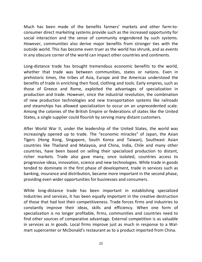Much has been made of the benefits farmers' markets and other farm-toconsumer direct marketing systems provide such as the increased opportunity for social interaction and the sense of community engendered by such systems. However, communities also derive major benefits from stronger ties with the outside world. This has become even truer as the world has shrunk, and as events in any obscure corner of the world can impact other countries and continents.

Long-distance trade has brought tremendous economic benefits to the world, whether that trade was between communities, states or nations. Even in prehistoric times, the tribes of Asia, Europe and the Americas understood the benefits of trade in enriching their food, clothing and tools. Early empires, such as those of Greece and Rome, exploited the advantages of specialization in production and trade. However, since the industrial revolution, the combination of new production technologies and new transportation systems like railroads and steamships has allowed specialization to occur on an unprecedented scale. Among the colonies of the British Empire or federations of states like the United States, a single supplier could flourish by serving many distant customers.

After World War II, under the leadership of the United States, the world was increasingly opened up to trade. The "economic miracles" of Japan, the Asian Tigers (Hong Kong, Singapore, South Korea and Taiwan), Southeast Asian countries like Thailand and Malaysia, and China, India, Chile and many other countries, have been based on selling their specialized production to distant, richer markets. Trade also gave many, once isolated, countries access to progressive ideas, innovation, science and new technologies. While trade in goods tended to dominate in the first phase of development, trade in services such as banking, insurance and distribution, became more important in the second phase, providing even wider opportunities for businesses and consumers.

While long-distance trade has been important in establishing specialized industries and services, it has been equally important in the creative destruction of those that had lost their competitiveness. Trade forces firms and industries to constantly improve their ideas, skills and efficiency. When one form of specialization is no longer profitable, firms, communities and countries need to find other sources of comparative advantage. External competition is as valuable in services as in goods. Local firms improve just as much in response to a Walmart supercenter or McDonald's restaurant as to a product imported from China.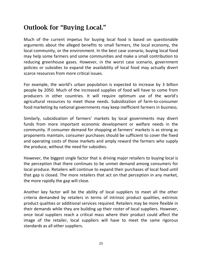#### Outlook for "Buying Local."

Much of the current impetus for buying local food is based on questionable arguments about the alleged benefits to small farmers, the local economy, the local community, or the environment. In the best case scenario, buying local food may help some farmers and some communities and make a small contribution to reducing greenhouse gases. However, in the worst case scenario, government policies or subsidies to expand the availability of local food may actually divert scarce resources from more critical issues.

For example, the world's urban population is expected to increase by 3 billion people by 2050. Much of the increased supplies of food will have to come from producers in other countries. It will require optimum use of the world's agricultural resources to meet those needs. Subsidization of farm-to-consumer food marketing by national governments may keep inefficient farmers in business.

Similarly, subsidization of farmers' markets by local governments may divert funds from more important economic development or welfare needs in the community. If consumer demand for shopping at farmers' markets is as strong as proponents maintain, consumer purchases should be sufficient to cover the fixed and operating costs of those markets and amply reward the farmers who supply the produce, without the need for subsidies.

However, the biggest single factor that is driving major retailers to buying local is the perception that there continues to be unmet demand among consumers for local produce. Retailers will continue to expand their purchases of local food until that gap is closed. The more retailers that act on that perception in any market, the more rapidly the gap will close.

Another key factor will be the ability of local suppliers to meet all the other criteria demanded by retailers in terms of intrinsic product qualities, extrinsic product qualities or additional services required. Retailers may be more flexible in their demands while they are building up their roster of local suppliers. However, once local suppliers reach a critical mass where their product could affect the image of the retailer, local suppliers will have to meet the same rigorous standards as all other suppliers.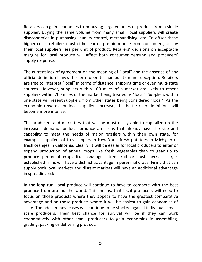Retailers can gain economies from buying large volumes of product from a single supplier. Buying the same volume from many small, local suppliers will create diseconomies in purchasing, quality control, merchandising, etc. To offset these higher costs, retailers must either earn a premium price from consumers, or pay their local suppliers less per unit of product. Retailers' decisions on acceptable margins for local produce will affect both consumer demand and producers' supply response.

The current lack of agreement on the meaning of "local" and the absence of any official definition leaves the term open to manipulation and deception. Retailers are free to interpret "local" in terms of distance, shipping time or even multi-state sources. However, suppliers within 100 miles of a market are likely to resent suppliers within 200 miles of the market being treated as "local". Suppliers within one state will resent suppliers from other states being considered "local". As the economic rewards for local suppliers increase, the battle over definitions will become more intense.

The producers and marketers that will be most easily able to capitalize on the increased demand for local produce are firms that already have the size and capability to meet the needs of major retailers within their own state, for example, suppliers of fresh apples in New York, fresh potatoes in Michigan or fresh oranges in California. Clearly, it will be easier for local producers to enter or expand production of annual crops like fresh vegetables than to gear up to produce perennial crops like asparagus, tree fruit or bush berries. Large, established firms will have a distinct advantage in perennial crops. Firms that can supply both local markets and distant markets will have an additional advantage in spreading risk.

In the long run, local produce will continue to have to compete with the best produce from around the world. This means, that local producers will need to focus on those products where they appear to have the greatest comparative advantage and on those products where it will be easiest to gain economies of scale. The odds in most cases will continue to be stacked against individual, smallscale producers. Their best chance for survival will be if they can work cooperatively with other small producers to gain economies in assembling, grading, packing or delivering product.